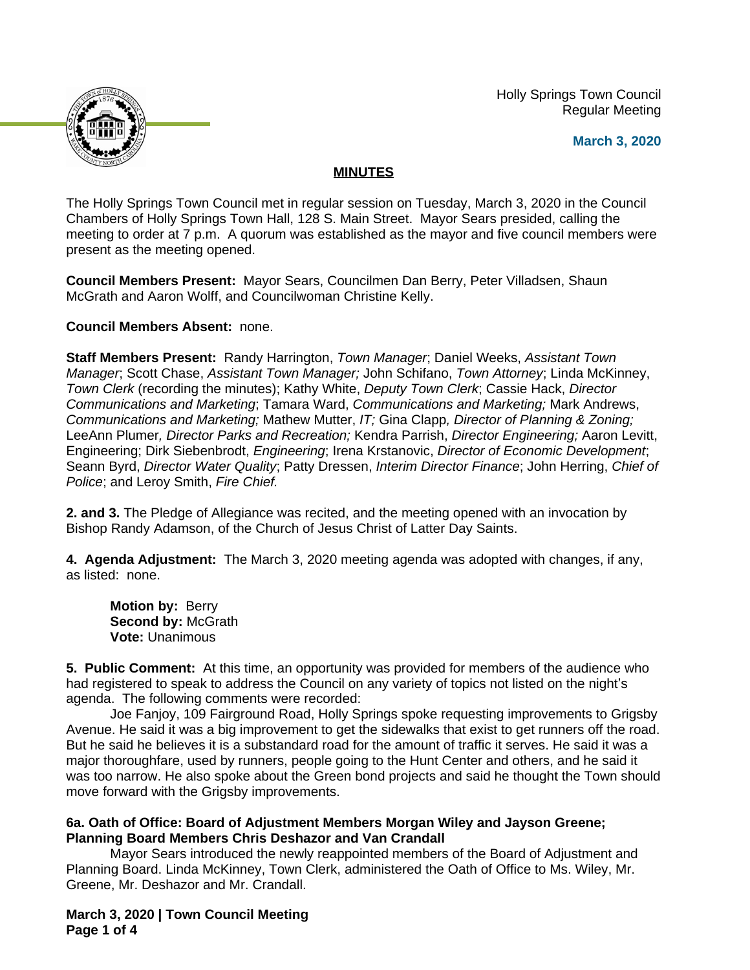Holly Springs Town Council Regular Meeting

**March 3, 2020**



# **MINUTES**

The Holly Springs Town Council met in regular session on Tuesday, March 3, 2020 in the Council Chambers of Holly Springs Town Hall, 128 S. Main Street. Mayor Sears presided, calling the meeting to order at 7 p.m. A quorum was established as the mayor and five council members were present as the meeting opened.

**Council Members Present:** Mayor Sears, Councilmen Dan Berry, Peter Villadsen, Shaun McGrath and Aaron Wolff, and Councilwoman Christine Kelly.

**Council Members Absent:** none.

**Staff Members Present:** Randy Harrington, *Town Manager*; Daniel Weeks, *Assistant Town Manager*; Scott Chase, *Assistant Town Manager;* John Schifano, *Town Attorney*; Linda McKinney, *Town Clerk* (recording the minutes); Kathy White, *Deputy Town Clerk*; Cassie Hack, *Director Communications and Marketing*; Tamara Ward, *Communications and Marketing;* Mark Andrews, *Communications and Marketing;* Mathew Mutter, *IT;* Gina Clapp*, Director of Planning & Zoning;*  LeeAnn Plumer*, Director Parks and Recreation;* Kendra Parrish, *Director Engineering;* Aaron Levitt, Engineering; Dirk Siebenbrodt, *Engineering*; Irena Krstanovic, *Director of Economic Development*; Seann Byrd, *Director Water Quality*; Patty Dressen, *Interim Director Finance*; John Herring, *Chief of Police*; and Leroy Smith, *Fire Chief.*

**2. and 3.** The Pledge of Allegiance was recited, and the meeting opened with an invocation by Bishop Randy Adamson, of the Church of Jesus Christ of Latter Day Saints.

**4. Agenda Adjustment:** The March 3, 2020 meeting agenda was adopted with changes, if any, as listed: none.

**Motion by:** Berry **Second by:** McGrath **Vote:** Unanimous

**5. Public Comment:** At this time, an opportunity was provided for members of the audience who had registered to speak to address the Council on any variety of topics not listed on the night's agenda. The following comments were recorded:

Joe Fanjoy, 109 Fairground Road, Holly Springs spoke requesting improvements to Grigsby Avenue. He said it was a big improvement to get the sidewalks that exist to get runners off the road. But he said he believes it is a substandard road for the amount of traffic it serves. He said it was a major thoroughfare, used by runners, people going to the Hunt Center and others, and he said it was too narrow. He also spoke about the Green bond projects and said he thought the Town should move forward with the Grigsby improvements.

# **6a. Oath of Office: Board of Adjustment Members Morgan Wiley and Jayson Greene; Planning Board Members Chris Deshazor and Van Crandall**

Mayor Sears introduced the newly reappointed members of the Board of Adjustment and Planning Board. Linda McKinney, Town Clerk, administered the Oath of Office to Ms. Wiley, Mr. Greene, Mr. Deshazor and Mr. Crandall.

**March 3, 2020 | Town Council Meeting Page 1 of 4**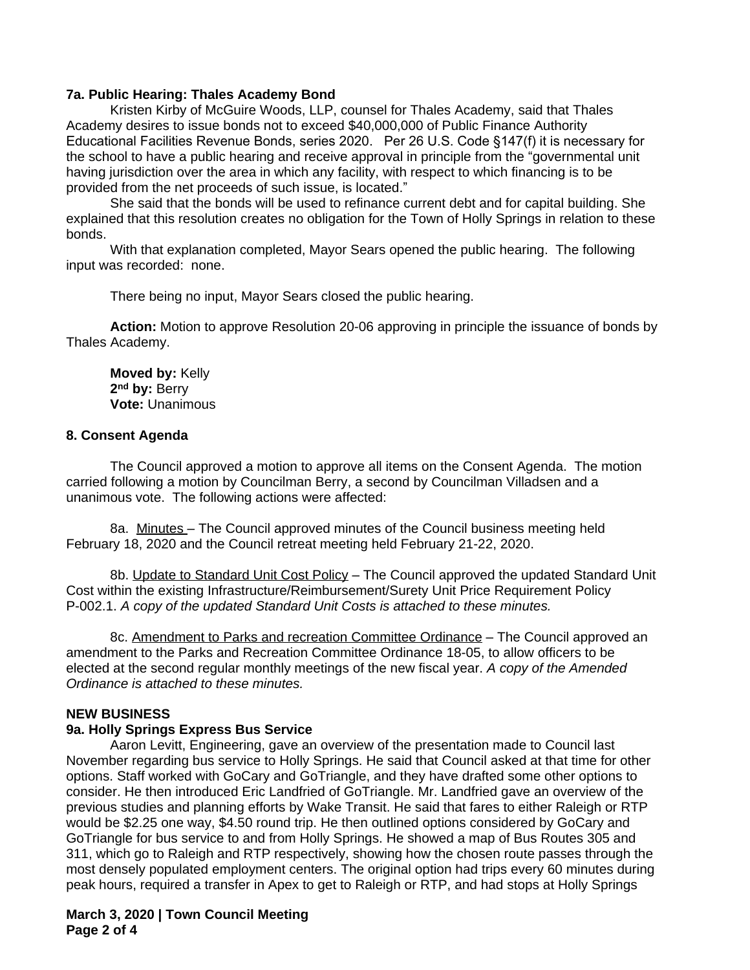# **7a. Public Hearing: Thales Academy Bond**

Kristen Kirby of McGuire Woods, LLP, counsel for Thales Academy, said that Thales Academy desires to issue bonds not to exceed \$40,000,000 of Public Finance Authority Educational Facilities Revenue Bonds, series 2020. Per 26 U.S. Code §147(f) it is necessary for the school to have a public hearing and receive approval in principle from the "governmental unit having jurisdiction over the area in which any facility, with respect to which financing is to be provided from the net proceeds of such issue, is located."

She said that the bonds will be used to refinance current debt and for capital building. She explained that this resolution creates no obligation for the Town of Holly Springs in relation to these bonds.

With that explanation completed, Mayor Sears opened the public hearing. The following input was recorded: none.

There being no input, Mayor Sears closed the public hearing.

**Action:** Motion to approve Resolution 20-06 approving in principle the issuance of bonds by Thales Academy.

**Moved by:** Kelly **2 nd by:** Berry **Vote:** Unanimous

#### **8. Consent Agenda**

The Council approved a motion to approve all items on the Consent Agenda. The motion carried following a motion by Councilman Berry, a second by Councilman Villadsen and a unanimous vote. The following actions were affected:

8a. Minutes – The Council approved minutes of the Council business meeting held February 18, 2020 and the Council retreat meeting held February 21-22, 2020.

8b. Update to Standard Unit Cost Policy – The Council approved the updated Standard Unit Cost within the existing Infrastructure/Reimbursement/Surety Unit Price Requirement Policy P-002.1. *A copy of the updated Standard Unit Costs is attached to these minutes.*

8c. Amendment to Parks and recreation Committee Ordinance – The Council approved an amendment to the Parks and Recreation Committee Ordinance 18-05, to allow officers to be elected at the second regular monthly meetings of the new fiscal year. *A copy of the Amended Ordinance is attached to these minutes.*

### **NEW BUSINESS**

#### **9a. Holly Springs Express Bus Service**

Aaron Levitt, Engineering, gave an overview of the presentation made to Council last November regarding bus service to Holly Springs. He said that Council asked at that time for other options. Staff worked with GoCary and GoTriangle, and they have drafted some other options to consider. He then introduced Eric Landfried of GoTriangle. Mr. Landfried gave an overview of the previous studies and planning efforts by Wake Transit. He said that fares to either Raleigh or RTP would be \$2.25 one way, \$4.50 round trip. He then outlined options considered by GoCary and GoTriangle for bus service to and from Holly Springs. He showed a map of Bus Routes 305 and 311, which go to Raleigh and RTP respectively, showing how the chosen route passes through the most densely populated employment centers. The original option had trips every 60 minutes during peak hours, required a transfer in Apex to get to Raleigh or RTP, and had stops at Holly Springs

# **March 3, 2020 | Town Council Meeting Page 2 of 4**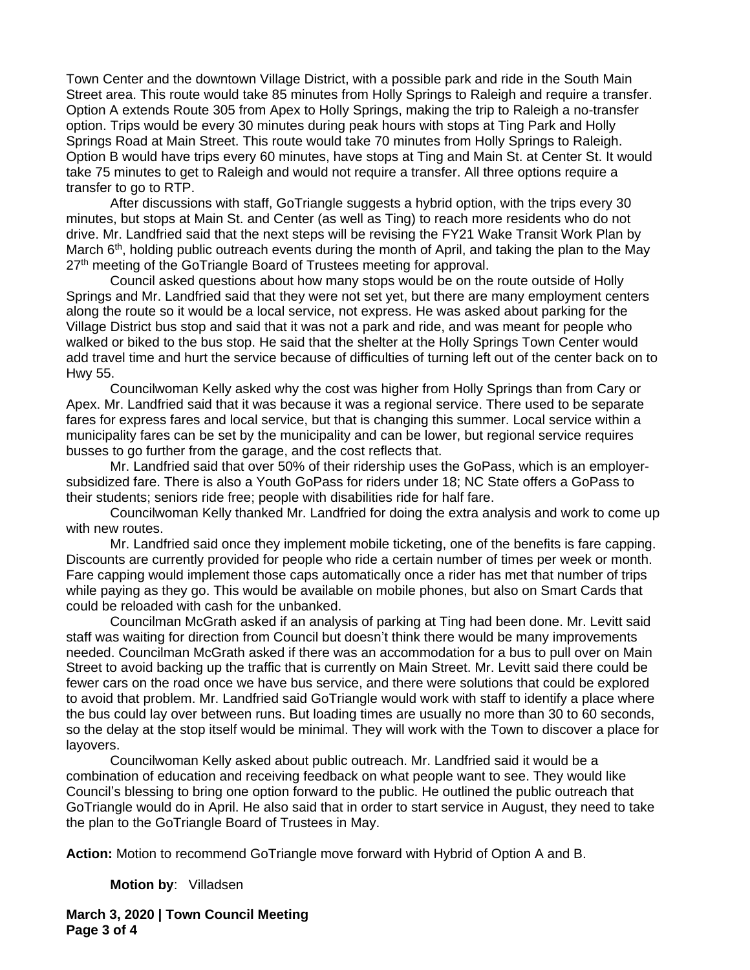Town Center and the downtown Village District, with a possible park and ride in the South Main Street area. This route would take 85 minutes from Holly Springs to Raleigh and require a transfer. Option A extends Route 305 from Apex to Holly Springs, making the trip to Raleigh a no-transfer option. Trips would be every 30 minutes during peak hours with stops at Ting Park and Holly Springs Road at Main Street. This route would take 70 minutes from Holly Springs to Raleigh. Option B would have trips every 60 minutes, have stops at Ting and Main St. at Center St. It would take 75 minutes to get to Raleigh and would not require a transfer. All three options require a transfer to go to RTP.

After discussions with staff, GoTriangle suggests a hybrid option, with the trips every 30 minutes, but stops at Main St. and Center (as well as Ting) to reach more residents who do not drive. Mr. Landfried said that the next steps will be revising the FY21 Wake Transit Work Plan by March 6<sup>th</sup>, holding public outreach events during the month of April, and taking the plan to the May 27<sup>th</sup> meeting of the GoTriangle Board of Trustees meeting for approval.

Council asked questions about how many stops would be on the route outside of Holly Springs and Mr. Landfried said that they were not set yet, but there are many employment centers along the route so it would be a local service, not express. He was asked about parking for the Village District bus stop and said that it was not a park and ride, and was meant for people who walked or biked to the bus stop. He said that the shelter at the Holly Springs Town Center would add travel time and hurt the service because of difficulties of turning left out of the center back on to Hwy 55.

Councilwoman Kelly asked why the cost was higher from Holly Springs than from Cary or Apex. Mr. Landfried said that it was because it was a regional service. There used to be separate fares for express fares and local service, but that is changing this summer. Local service within a municipality fares can be set by the municipality and can be lower, but regional service requires busses to go further from the garage, and the cost reflects that.

Mr. Landfried said that over 50% of their ridership uses the GoPass, which is an employersubsidized fare. There is also a Youth GoPass for riders under 18; NC State offers a GoPass to their students; seniors ride free; people with disabilities ride for half fare.

Councilwoman Kelly thanked Mr. Landfried for doing the extra analysis and work to come up with new routes.

Mr. Landfried said once they implement mobile ticketing, one of the benefits is fare capping. Discounts are currently provided for people who ride a certain number of times per week or month. Fare capping would implement those caps automatically once a rider has met that number of trips while paying as they go. This would be available on mobile phones, but also on Smart Cards that could be reloaded with cash for the unbanked.

Councilman McGrath asked if an analysis of parking at Ting had been done. Mr. Levitt said staff was waiting for direction from Council but doesn't think there would be many improvements needed. Councilman McGrath asked if there was an accommodation for a bus to pull over on Main Street to avoid backing up the traffic that is currently on Main Street. Mr. Levitt said there could be fewer cars on the road once we have bus service, and there were solutions that could be explored to avoid that problem. Mr. Landfried said GoTriangle would work with staff to identify a place where the bus could lay over between runs. But loading times are usually no more than 30 to 60 seconds, so the delay at the stop itself would be minimal. They will work with the Town to discover a place for layovers.

Councilwoman Kelly asked about public outreach. Mr. Landfried said it would be a combination of education and receiving feedback on what people want to see. They would like Council's blessing to bring one option forward to the public. He outlined the public outreach that GoTriangle would do in April. He also said that in order to start service in August, they need to take the plan to the GoTriangle Board of Trustees in May.

**Action:** Motion to recommend GoTriangle move forward with Hybrid of Option A and B.

**Motion by**: Villadsen

**March 3, 2020 | Town Council Meeting Page 3 of 4**